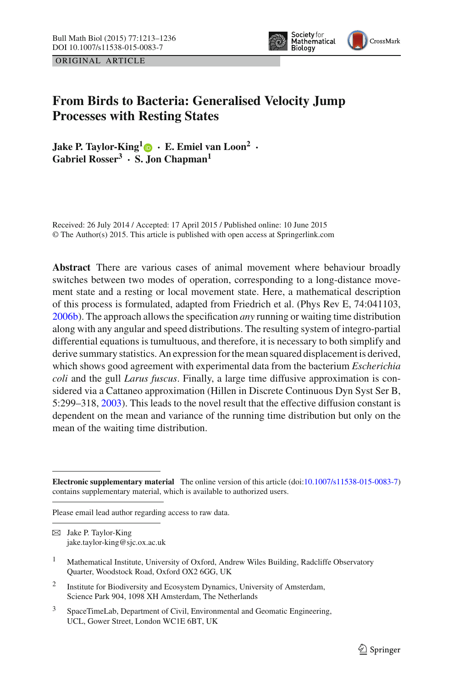ORIGINAL ARTICLE



# **From Birds to Bacteria: Generalised Velocity Jump Processes with Resting States**

**Jake P. Taylor-King**<sup>[1](http://orcid.org/0000-0002-1025-0041)</sup>  $\bullet$  **· E.** Emiel van Loon<sup>2</sup> **· Gabriel Rosser3 · S. Jon Chapman1**

Received: 26 July 2014 / Accepted: 17 April 2015 / Published online: 10 June 2015 © The Author(s) 2015. This article is published with open access at Springerlink.com

**Abstract** There are various cases of animal movement where behaviour broadly switches between two modes of operation, corresponding to a long-distance movement state and a resting or local movement state. Here, a mathematical description of this process is formulated, adapted from Friedrich et al. (Phys Rev E, 74:041103, [2006b\)](#page-22-0). The approach allows the specification *any* running or waiting time distribution along with any angular and speed distributions. The resulting system of integro-partial differential equations is tumultuous, and therefore, it is necessary to both simplify and derive summary statistics. An expression for the mean squared displacement is derived, which shows good agreement with experimental data from the bacterium *Escherichia coli* and the gull *Larus fuscus*. Finally, a large time diffusive approximation is considered via a Cattaneo approximation (Hillen in Discrete Continuous Dyn Syst Ser B, 5:299–318, [2003\)](#page-22-1). This leads to the novel result that the effective diffusion constant is dependent on the mean and variance of the running time distribution but only on the mean of the waiting time distribution.

Please email lead author regarding access to raw data.

<sup>3</sup> SpaceTimeLab, Department of Civil, Environmental and Geomatic Engineering, UCL, Gower Street, London WC1E 6BT, UK

**Electronic supplementary material** The online version of this article (doi[:10.1007/s11538-015-0083-7\)](http://dx.doi.org/10.1007/s11538-015-0083-7) contains supplementary material, which is available to authorized users.

B Jake P. Taylor-King jake.taylor-king@sjc.ox.ac.uk

<sup>1</sup> Mathematical Institute, University of Oxford, Andrew Wiles Building, Radcliffe Observatory Quarter, Woodstock Road, Oxford OX2 6GG, UK

Institute for Biodiversity and Ecosystem Dynamics, University of Amsterdam, Science Park 904, 1098 XH Amsterdam, The Netherlands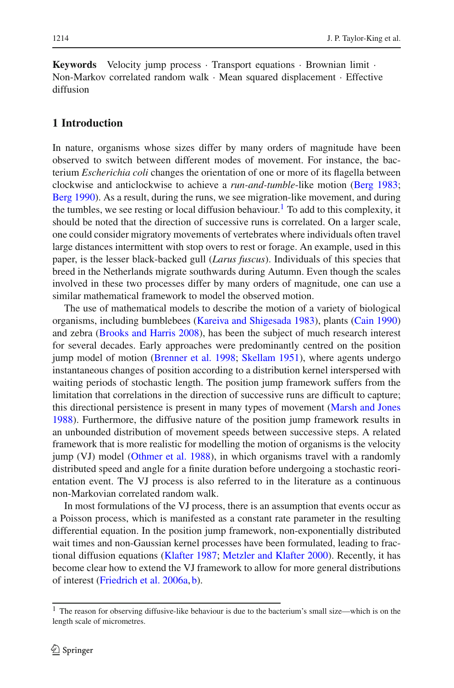**Keywords** Velocity jump process · Transport equations · Brownian limit · Non-Markov correlated random walk · Mean squared displacement · Effective diffusion

## **1 Introduction**

In nature, organisms whose sizes differ by many orders of magnitude have been observed to switch between different modes of movement. For instance, the bacterium *Escherichia coli* changes the orientation of one or more of its flagella between clockwise and anticlockwise to achieve a *run-and-tumble*-like motion [\(Berg 1983](#page-22-2); [Berg 1990](#page-22-3)). As a result, during the runs, we see migration-like movement, and during the tumbles, we see resting or local diffusion behaviour.<sup>[1](#page-1-0)</sup> To add to this complexity, it should be noted that the direction of successive runs is correlated. On a larger scale, one could consider migratory movements of vertebrates where individuals often travel large distances intermittent with stop overs to rest or forage. An example, used in this paper, is the lesser black-backed gull (*Larus fuscus*). Individuals of this species that breed in the Netherlands migrate southwards during Autumn. Even though the scales involved in these two processes differ by many orders of magnitude, one can use a similar mathematical framework to model the observed motion.

The use of mathematical models to describe the motion of a variety of biological organisms, including bumblebees [\(Kareiva and Shigesada 1983\)](#page-23-0), plants [\(Cain 1990\)](#page-22-4) and zebra [\(Brooks and Harris 2008\)](#page-22-5), has been the subject of much research interest for several decades. Early approaches were predominantly centred on the position jump model of motion [\(Brenner et al. 1998](#page-22-6); [Skellam 1951](#page-23-1)), where agents undergo instantaneous changes of position according to a distribution kernel interspersed with waiting periods of stochastic length. The position jump framework suffers from the limitation that correlations in the direction of successive runs are difficult to capture; this directional persistence is present in many types of movement [\(Marsh and Jones](#page-23-2) [1988\)](#page-23-2). Furthermore, the diffusive nature of the position jump framework results in an unbounded distribution of movement speeds between successive steps. A related framework that is more realistic for modelling the motion of organisms is the velocity jump (VJ) model [\(Othmer et al. 1988\)](#page-23-3), in which organisms travel with a randomly distributed speed and angle for a finite duration before undergoing a stochastic reorientation event. The VJ process is also referred to in the literature as a continuous non-Markovian correlated random walk.

In most formulations of the VJ process, there is an assumption that events occur as a Poisson process, which is manifested as a constant rate parameter in the resulting differential equation. In the position jump framework, non-exponentially distributed wait times and non-Gaussian kernel processes have been formulated, leading to fractional diffusion equations [\(Klafter 1987](#page-23-4); [Metzler and Klafter 2000\)](#page-23-5). Recently, it has become clear how to extend the VJ framework to allow for more general distributions of interest [\(Friedrich et al. 2006a,](#page-22-7) [b\)](#page-22-0).

<span id="page-1-0"></span><sup>&</sup>lt;sup>1</sup> The reason for observing diffusive-like behaviour is due to the bacterium's small size—which is on the length scale of micrometres.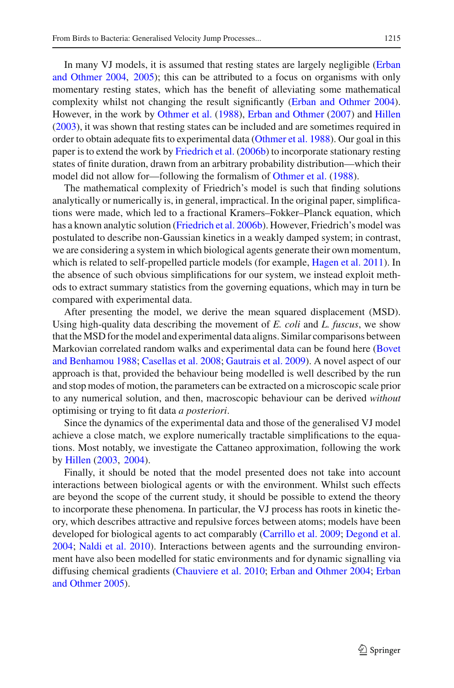In many [VJ](#page-22-8) [models,](#page-22-8) [it](#page-22-8) [is](#page-22-8) [assumed](#page-22-8) [that](#page-22-8) [resting](#page-22-8) [states](#page-22-8) [are](#page-22-8) [largely](#page-22-8) [negligible](#page-22-8) [\(](#page-22-8)Erban and Othmer [2004](#page-22-8), [2005](#page-22-9)); this can be attributed to a focus on organisms with only momentary resting states, which has the benefit of alleviating some mathematical complexity whilst not changing the result significantly [\(Erban and Othmer 2004](#page-22-8)). However, in the work by [Othmer et al.](#page-23-3) [\(1988](#page-23-3)), [Erban and Othmer](#page-22-10) [\(2007\)](#page-22-10) and [Hillen](#page-23-6) [\(2003\)](#page-23-6), it was shown that resting states can be included and are sometimes required in order to obtain adequate fits to experimental data [\(Othmer et al. 1988\)](#page-23-3). Our goal in this paper is to extend the work by [Friedrich et al.](#page-22-0) [\(2006b](#page-22-0)) to incorporate stationary resting states of finite duration, drawn from an arbitrary probability distribution—which their model did not allow for—following the formalism of [Othmer et al.](#page-23-3) [\(1988](#page-23-3)).

The mathematical complexity of Friedrich's model is such that finding solutions analytically or numerically is, in general, impractical. In the original paper, simplifications were made, which led to a fractional Kramers–Fokker–Planck equation, which has a known analytic solution [\(Friedrich et al. 2006b](#page-22-0)). However, Friedrich's model was postulated to describe non-Gaussian kinetics in a weakly damped system; in contrast, we are considering a system in which biological agents generate their own momentum, which is related to self-propelled particle models (for example, [Hagen et al. 2011\)](#page-22-11). In the absence of such obvious simplifications for our system, we instead exploit methods to extract summary statistics from the governing equations, which may in turn be compared with experimental data.

After presenting the model, we derive the mean squared displacement (MSD). Using high-quality data describing the movement of *E. coli* and *L. fuscus*, we show that the MSD for the model and experimental data aligns. Similar comparisons between Markovian cor[related](#page-22-12) [random](#page-22-12) [walks](#page-22-12) [and](#page-22-12) [experimental](#page-22-12) [data](#page-22-12) [can](#page-22-12) [be](#page-22-12) [found](#page-22-12) [here](#page-22-12) [\(](#page-22-12)Bovet and Benhamou [1988;](#page-22-12) [Casellas et al. 2008;](#page-22-13) [Gautrais et al. 2009\)](#page-22-14). A novel aspect of our approach is that, provided the behaviour being modelled is well described by the run and stop modes of motion, the parameters can be extracted on a microscopic scale prior to any numerical solution, and then, macroscopic behaviour can be derived *without* optimising or trying to fit data *a posteriori*.

Since the dynamics of the experimental data and those of the generalised VJ model achieve a close match, we explore numerically tractable simplifications to the equations. Most notably, we investigate the Cattaneo approximation, following the work by [Hillen](#page-22-1) [\(2003,](#page-22-1) [2004](#page-23-7)).

Finally, it should be noted that the model presented does not take into account interactions between biological agents or with the environment. Whilst such effects are beyond the scope of the current study, it should be possible to extend the theory to incorporate these phenomena. In particular, the VJ process has roots in kinetic theory, which describes attractive and repulsive forces between atoms; models have been developed for biological agents to act comparably [\(Carrillo et al. 2009;](#page-22-15) [Degond et al.](#page-22-16) [2004;](#page-22-16) [Naldi et al. 2010](#page-23-8)). Interactions between agents and the surrounding environment have also been modelled for static environments and for dynamic signalling via diffusing c[hemical](#page-22-9) [gradients](#page-22-9) [\(Chauviere et al. 2010](#page-22-17)[;](#page-22-9) [Erban and Othmer 2004;](#page-22-8) Erban and Othmer [2005](#page-22-9)).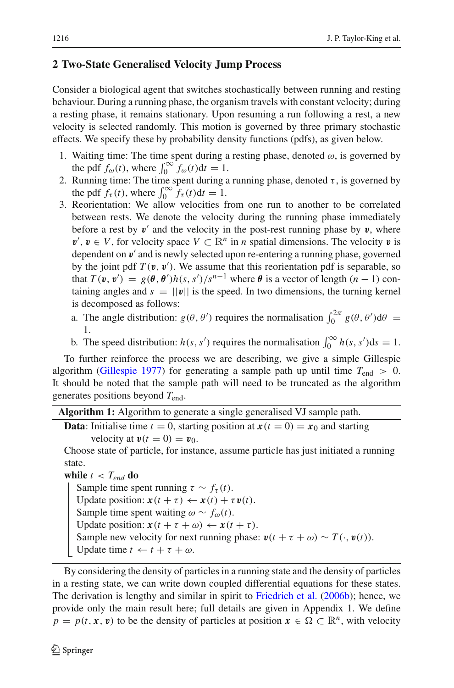## <span id="page-3-0"></span>**2 Two-State Generalised Velocity Jump Process**

Consider a biological agent that switches stochastically between running and resting behaviour. During a running phase, the organism travels with constant velocity; during a resting phase, it remains stationary. Upon resuming a run following a rest, a new velocity is selected randomly. This motion is governed by three primary stochastic effects. We specify these by probability density functions (pdfs), as given below.

- 1. Waiting time: The time spent during a resting phase, denoted  $\omega$ , is governed by the pdf  $f_{\omega}(t)$ , where  $\int_0^{\infty} f_{\omega}(t)dt = 1$ .
- 2. Running time: The time spent during a running phase, denoted  $\tau$ , is governed by the pdf  $f_\tau(t)$ , where  $\int_0^\infty f_\tau(t)dt = 1$ .
- 3. Reorientation: We allow velocities from one run to another to be correlated between rests. We denote the velocity during the running phase immediately before a rest by  $v'$  and the velocity in the post-rest running phase by  $v$ , where  $v', v \in V$ , for velocity space  $V \subset \mathbb{R}^n$  in *n* spatial dimensions. The velocity *v* is dependent on  $v'$  and is newly selected upon re-entering a running phase, governed by the joint pdf *T* (*v*, *v* ). We assume that this reorientation pdf is separable, so that  $T(\mathbf{v}, \mathbf{v}') = g(\mathbf{\theta}, \mathbf{\theta}')h(s, s')/s^{n-1}$  where  $\mathbf{\theta}$  is a vector of length  $(n-1)$  containing angles and  $s = ||v||$  is the speed. In two dimensions, the turning kernel is decomposed as follows:
	- a. The angle distribution:  $g(\theta, \theta')$  requires the normalisation  $\int_0^{2\pi} g(\theta, \theta') d\theta =$ 1.
	- b. The speed distribution:  $h(s, s')$  requires the normalisation  $\int_0^\infty h(s, s')ds = 1$ .

To further reinforce the process we are describing, we give a simple Gillespie algorithm [\(Gillespie 1977\)](#page-22-18) for generating a sample path up until time  $T_{end} > 0$ . It should be noted that the sample path will need to be truncated as the algorithm generates positions beyond *T*end.

**Algorithm 1:** Algorithm to generate a single generalised VJ sample path.

**Data**: Initialise time  $t = 0$ , starting position at  $x(t = 0) = x_0$  and starting velocity at  $v(t = 0) = v_0$ .

Choose state of particle, for instance, assume particle has just initiated a running state.

**while**  $t < T_{end}$  **do** 

Sample time spent running  $\tau \sim f_{\tau}(t)$ . Update position:  $\mathbf{x}(t + \tau) \leftarrow \mathbf{x}(t) + \tau \mathbf{v}(t)$ . Sample time spent waiting  $\omega \sim f_{\omega}(t)$ . Update position:  $x(t + \tau + \omega) \leftarrow x(t + \tau)$ . Sample new velocity for next running phase:  $v(t + \tau + \omega) \sim T(\cdot, v(t))$ . Update time  $t \leftarrow t + \tau + \omega$ .

By considering the density of particles in a running state and the density of particles in a resting state, we can write down coupled differential equations for these states. The derivation is lengthy and similar in spirit to [Friedrich et al.](#page-22-0) [\(2006b\)](#page-22-0); hence, we provide only the main result here; full details are given in Appendix 1. We define  $p = p(t, x, v)$  to be the density of particles at position  $x \in \Omega \subset \mathbb{R}^n$ , with velocity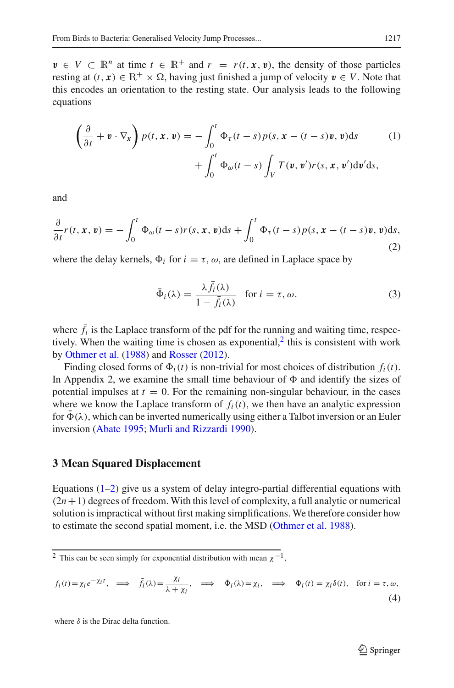$v \in V \subset \mathbb{R}^n$  at time  $t \in \mathbb{R}^+$  and  $r = r(t, x, v)$ , the density of those particles resting at  $(t, x) \in \mathbb{R}^+ \times \Omega$ , having just finished a jump of velocity  $v \in V$ . Note that this encodes an orientation to the resting state. Our analysis leads to the following equations

<span id="page-4-1"></span>
$$
\left(\frac{\partial}{\partial t} + \mathbf{v} \cdot \nabla_{\mathbf{x}}\right) p(t, \mathbf{x}, \mathbf{v}) = -\int_0^t \Phi_\tau(t - s) p(s, \mathbf{x} - (t - s)\mathbf{v}, \mathbf{v}) ds \tag{1}
$$
\n
$$
+ \int_0^t \Phi_\omega(t - s) \int_V T(\mathbf{v}, \mathbf{v}') r(s, \mathbf{x}, \mathbf{v}') d\mathbf{v}' ds,
$$

and

<span id="page-4-2"></span>
$$
\frac{\partial}{\partial t}r(t, \mathbf{x}, \mathbf{v}) = -\int_0^t \Phi_\omega(t - s)r(s, \mathbf{x}, \mathbf{v})ds + \int_0^t \Phi_\tau(t - s)p(s, \mathbf{x} - (t - s)\mathbf{v}, \mathbf{v})ds,\tag{2}
$$

<span id="page-4-3"></span>where the delay kernels,  $\Phi_i$  for  $i = \tau$ ,  $\omega$ , are defined in Laplace space by

$$
\bar{\Phi}_i(\lambda) = \frac{\lambda \bar{f}_i(\lambda)}{1 - \bar{f}_i(\lambda)} \quad \text{for } i = \tau, \omega.
$$
 (3)

where  $\bar{f}_i$  is the Laplace transform of the pdf for the running and waiting time, respectively. When the waiting time is chosen as exponential, $\lambda^2$  this is consistent with work by [Othmer et al.](#page-23-3) [\(1988](#page-23-3)) and [Rosser](#page-23-9) [\(2012\)](#page-23-9).

Finding closed forms of  $\Phi_i(t)$  is non-trivial for most choices of distribution  $f_i(t)$ . In Appendix 2, we examine the small time behaviour of  $\Phi$  and identify the sizes of potential impulses at  $t = 0$ . For the remaining non-singular behaviour, in the cases where we know the Laplace transform of  $f_i(t)$ , we then have an analytic expression for  $\bar{\Phi}(\lambda)$ , which can be inverted numerically using either a Talbot inversion or an Euler inversion [\(Abate 1995](#page-22-19); [Murli and Rizzardi 1990\)](#page-23-10).

## **3 Mean Squared Displacement**

Equations  $(1-2)$  $(1-2)$  give us a system of delay integro-partial differential equations with  $(2n+1)$  degrees of freedom. With this level of complexity, a full analytic or numerical solution is impractical without first making simplifications. We therefore consider how to estimate the second spatial moment, i.e. the MSD [\(Othmer et al. 1988](#page-23-3)).

$$
f_i(t) = \chi_i e^{-\chi_i t}, \implies \bar{f}_i(\lambda) = \frac{\chi_i}{\lambda + \chi_i}, \implies \bar{\Phi}_i(\lambda) = \chi_i, \implies \Phi_i(t) = \chi_i \delta(t), \text{ for } i = \tau, \omega,
$$
\n(4)

where  $\delta$  is the Dirac delta function.

<span id="page-4-0"></span><sup>&</sup>lt;sup>2</sup> This can be seen simply for exponential distribution with mean  $\chi^{-1}$ ,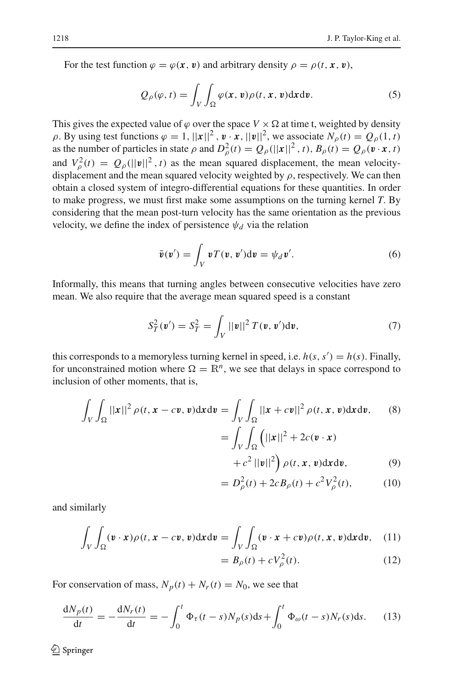For the test function  $\varphi = \varphi(x, v)$  and arbitrary density  $\rho = \rho(t, x, v)$ ,

$$
Q_{\rho}(\varphi, t) = \int_{V} \int_{\Omega} \varphi(x, v) \rho(t, x, v) \, \mathrm{d}x \, \mathrm{d}v. \tag{5}
$$

This gives the expected value of  $\varphi$  over the space  $V \times \Omega$  at time t, weighted by density  $ρ$ . By using test functions  $φ = 1$ ,  $||x||^2$ ,  $v \cdot x$ ,  $||v||^2$ , we associate  $N_ρ(t) = Q_ρ(1, t)$ as the number of particles in state  $\rho$  and  $D^2_{\rho}(t) = Q_{\rho}(|x||^2, t), B_{\rho}(t) = Q_{\rho}(\mathbf{v} \cdot \mathbf{x}, t)$ and  $V^2$ <sub> $\rho$ </sub>( $t$ ) =  $Q$ <sub> $\rho$ </sub>( $|v||^2$ , *t*) as the mean squared displacement, the mean velocitydisplacement and the mean squared velocity weighted by  $\rho$ , respectively. We can then obtain a closed system of integro-differential equations for these quantities. In order to make progress, we must first make some assumptions on the turning kernel *T*. By considering that the mean post-turn velocity has the same orientation as the previous velocity, we define the index of persistence  $\psi_d$  via the relation

$$
\bar{\boldsymbol{v}}(\boldsymbol{v}') = \int_{V} \boldsymbol{v} T(\boldsymbol{v}, \boldsymbol{v}') d\boldsymbol{v} = \psi_{d} \boldsymbol{v}'. \tag{6}
$$

Informally, this means that turning angles between consecutive velocities have zero mean. We also require that the average mean squared speed is a constant

$$
S_T^2(\mathbf{v}') = S_T^2 = \int_V ||\mathbf{v}||^2 T(\mathbf{v}, \mathbf{v}') d\mathbf{v},\tag{7}
$$

this corresponds to a memoryless turning kernel in speed, i.e.  $h(s, s') = h(s)$ . Finally, for unconstrained motion where  $\Omega = \mathbb{R}^n$ , we see that delays in space correspond to inclusion of other moments, that is,

$$
\int_{V} \int_{\Omega} ||x||^2 \rho(t, x - cv, v) dx dv = \int_{V} \int_{\Omega} ||x + cv||^2 \rho(t, x, v) dx dv,
$$
\n
$$
= \int_{V} \int_{\Omega} (||x||^2 + 2c(v \cdot x) + c^2 ||v||^2) \rho(t, x, v) dx dv,
$$
\n(9)

$$
= D_{\rho}^{2}(t) + 2c B_{\rho}(t) + c^{2} V_{\rho}^{2}(t), \qquad (10)
$$

and similarly

$$
\int_{V} \int_{\Omega} (\mathbf{v} \cdot \mathbf{x}) \rho(t, \mathbf{x} - c\mathbf{v}, \mathbf{v}) \mathrm{d} \mathbf{x} \mathrm{d} \mathbf{v} = \int_{V} \int_{\Omega} (\mathbf{v} \cdot \mathbf{x} + c\mathbf{v}) \rho(t, \mathbf{x}, \mathbf{v}) \mathrm{d} \mathbf{x} \mathrm{d} \mathbf{v}, \quad (11)
$$

$$
=B_{\rho}(t) + cV_{\rho}^{2}(t). \tag{12}
$$

<span id="page-5-0"></span>For conservation of mass,  $N_p(t) + N_r(t) = N_0$ , we see that

$$
\frac{dN_p(t)}{dt} = -\frac{dN_r(t)}{dt} = -\int_0^t \Phi_\tau(t-s)N_p(s)ds + \int_0^t \Phi_\omega(t-s)N_r(s)ds.
$$
 (13)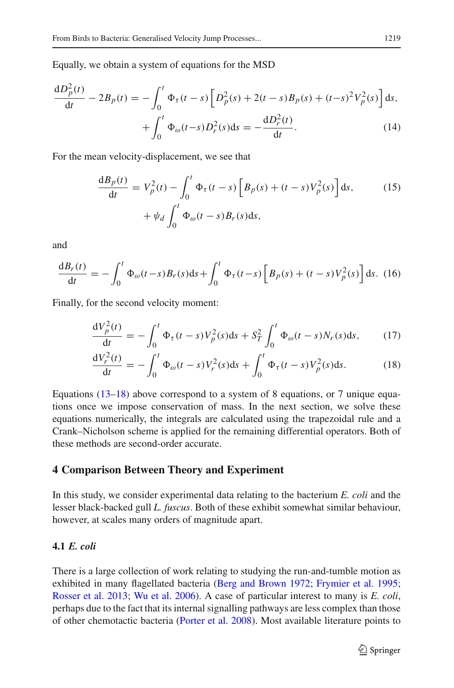Equally, we obtain a system of equations for the MSD

$$
\frac{dD_p^2(t)}{dt} - 2B_p(t) = -\int_0^t \Phi_\tau(t - s) \left[ D_p^2(s) + 2(t - s)B_p(s) + (t - s)^2 V_p^2(s) \right] ds,
$$
  
+ 
$$
\int_0^t \Phi_\omega(t - s) D_r^2(s) ds = -\frac{dD_r^2(t)}{dt}.
$$
 (14)

For the mean velocity-displacement, we see that

$$
\frac{dB_p(t)}{dt} = V_p^2(t) - \int_0^t \Phi_\tau(t-s) \left[ B_p(s) + (t-s)V_p^2(s) \right] ds,
$$
\n
$$
+ \psi_d \int_0^t \Phi_\omega(t-s) B_r(s) ds,
$$
\n(15)

and

$$
\frac{dB_r(t)}{dt} = -\int_0^t \Phi_\omega(t-s)B_r(s)ds + \int_0^t \Phi_\tau(t-s) \left[ B_p(s) + (t-s)V_p^2(s) \right] ds. (16)
$$

<span id="page-6-0"></span>Finally, for the second velocity moment:

$$
\frac{dV_p^2(t)}{dt} = -\int_0^t \Phi_\tau(t-s)V_p^2(s)ds + S_T^2 \int_0^t \Phi_\omega(t-s)N_r(s)ds,\tag{17}
$$

$$
\frac{dV_r^2(t)}{dt} = -\int_0^t \Phi_\omega(t-s)V_r^2(s)ds + \int_0^t \Phi_\tau(t-s)V_p^2(s)ds.
$$
 (18)

Equations [\(13](#page-5-0)[–18\)](#page-6-0) above correspond to a system of 8 equations, or 7 unique equations once we impose conservation of mass. In the next section, we solve these equations numerically, the integrals are calculated using the trapezoidal rule and a Crank–Nicholson scheme is applied for the remaining differential operators. Both of these methods are second-order accurate.

### <span id="page-6-1"></span>**4 Comparison Between Theory and Experiment**

In this study, we consider experimental data relating to the bacterium *E. coli* and the lesser black-backed gull *L. fuscus*. Both of these exhibit somewhat similar behaviour, however, at scales many orders of magnitude apart.

## **4.1** *E. coli*

There is a large collection of work relating to studying the run-and-tumble motion as exhibited in many flagellated bacteria [\(Berg and Brown 1972](#page-22-20); [Frymier et al. 1995](#page-22-21); [Rosser et al. 2013;](#page-23-11) [Wu et al. 2006](#page-23-12)). A case of particular interest to many is *E. coli*, perhaps due to the fact that its internal signalling pathways are less complex than those of other chemotactic bacteria [\(Porter et al. 2008\)](#page-23-13). Most available literature points to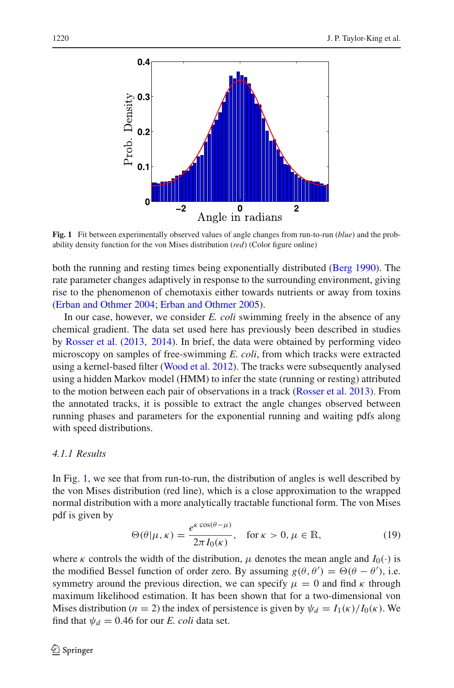

<span id="page-7-0"></span>**Fig. 1** Fit between experimentally observed values of angle changes from run-to-run (*blue*) and the probability density function for the von Mises distribution (*red*) (Color figure online)

both the running and resting times being exponentially distributed [\(Berg 1990\)](#page-22-3). The rate parameter changes adaptively in response to the surrounding environment, giving rise to the phenomenon of chemotaxis either towards nutrients or away from toxins [\(Erban and Othmer 2004](#page-22-8); [Erban and Othmer 2005](#page-22-9)).

In our case, however, we consider *E. coli* swimming freely in the absence of any chemical gradient. The data set used here has previously been described in studies by [Rosser et al.](#page-23-11) [\(2013,](#page-23-11) [2014\)](#page-23-14). In brief, the data were obtained by performing video microscopy on samples of free-swimming *E. coli*, from which tracks were extracted using a kernel-based filter [\(Wood et al. 2012\)](#page-23-15). The tracks were subsequently analysed using a hidden Markov model (HMM) to infer the state (running or resting) attributed to the motion between each pair of observations in a track [\(Rosser et al. 2013](#page-23-11)). From the annotated tracks, it is possible to extract the angle changes observed between running phases and parameters for the exponential running and waiting pdfs along with speed distributions.

## *4.1.1 Results*

In Fig. [1,](#page-7-0) we see that from run-to-run, the distribution of angles is well described by the von Mises distribution (red line), which is a close approximation to the wrapped normal distribution with a more analytically tractable functional form. The von Mises pdf is given by

$$
\Theta(\theta|\mu,\kappa) = \frac{e^{\kappa \cos(\theta - \mu)}}{2\pi I_0(\kappa)}, \quad \text{for } \kappa > 0, \mu \in \mathbb{R}, \tag{19}
$$

where *κ* controls the width of the distribution,  $\mu$  denotes the mean angle and  $I_0(\cdot)$  is the modified Bessel function of order zero. By assuming  $g(\theta, \theta') = \Theta(\theta - \theta')$ , i.e. symmetry around the previous direction, we can specify  $\mu = 0$  and find  $\kappa$  through maximum likelihood estimation. It has been shown that for a two-dimensional von Mises distribution (*n* = 2) the index of persistence is given by  $\psi_d = I_1(\kappa)/I_0(\kappa)$ . We find that  $\psi_d = 0.46$  for our *E. coli* data set.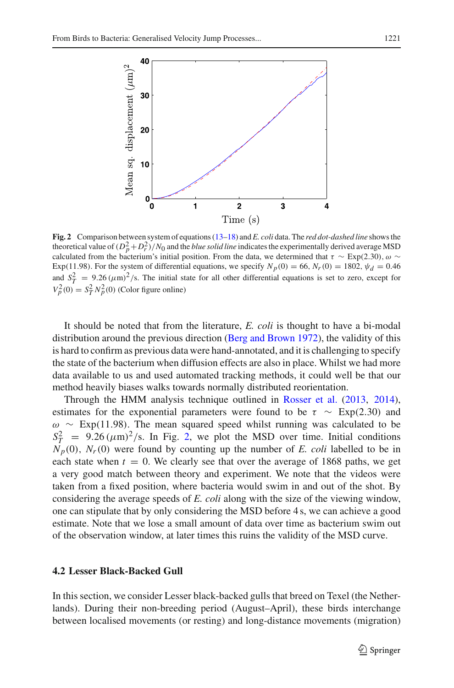

<span id="page-8-0"></span>**Fig. 2** Comparison between system of equations [\(13](#page-5-0)[–18\)](#page-6-0) and*E. coli* data. The *red dot-dashed line* shows the theoretical value of  $(D_p^2 + D_r^2) / N_0$  and the *blue solid line* indicates the experimentally derived average MSD calculated from the bacterium's initial position. From the data, we determined that  $\tau \sim \text{Exp}(2.30)$ ,  $\omega \sim$ Exp(11.98). For the system of differential equations, we specify  $N_p(0) = 66$ ,  $N_r(0) = 1802$ ,  $\psi_d = 0.46$ and  $S_T^2 = 9.26 \, (\mu \text{m})^2/\text{s}$ . The initial state for all other differential equations is set to zero, except for  $V_p^2(0) = S_T^2 N_p^2(0)$  (Color figure online)

It should be noted that from the literature, *E. coli* is thought to have a bi-modal distribution around the previous direction [\(Berg and Brown 1972\)](#page-22-20), the validity of this is hard to confirm as previous data were hand-annotated, and it is challenging to specify the state of the bacterium when diffusion effects are also in place. Whilst we had more data available to us and used automated tracking methods, it could well be that our method heavily biases walks towards normally distributed reorientation.

Through the HMM analysis technique outlined in [Rosser et al.](#page-23-11) [\(2013](#page-23-11), [2014](#page-23-14)), estimates for the exponential parameters were found to be  $\tau \sim \text{Exp}(2.30)$  and  $\omega \sim$  Exp(11.98). The mean squared speed whilst running was calculated to be  $S_T^2 = 9.26 \, (\mu \text{m})^2/\text{s}$ . In Fig. [2,](#page-8-0) we plot the MSD over time. Initial conditions  $N_p(0)$ ,  $N_r(0)$  were found by counting up the number of *E. coli* labelled to be in each state when  $t = 0$ . We clearly see that over the average of 1868 paths, we get a very good match between theory and experiment. We note that the videos were taken from a fixed position, where bacteria would swim in and out of the shot. By considering the average speeds of *E. coli* along with the size of the viewing window, one can stipulate that by only considering the MSD before 4 s, we can achieve a good estimate. Note that we lose a small amount of data over time as bacterium swim out of the observation window, at later times this ruins the validity of the MSD curve.

### **4.2 Lesser Black-Backed Gull**

In this section, we consider Lesser black-backed gulls that breed on Texel (the Netherlands). During their non-breeding period (August–April), these birds interchange between localised movements (or resting) and long-distance movements (migration)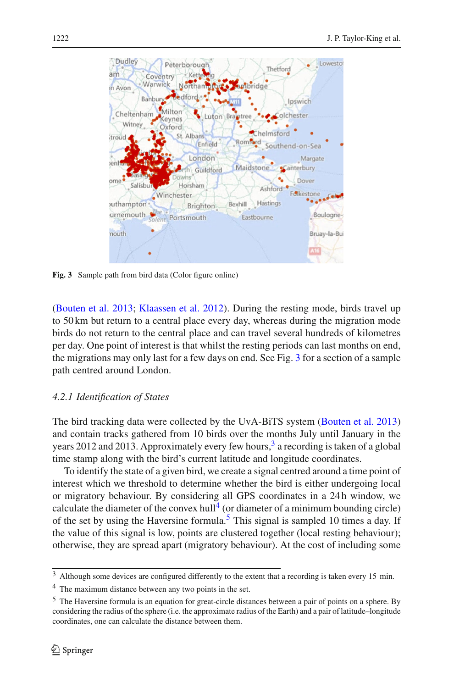

**Fig. 3** Sample path from bird data (Color figure online)

<span id="page-9-0"></span>[\(Bouten et al. 2013;](#page-22-22) [Klaassen et al. 2012\)](#page-23-16). During the resting mode, birds travel up to 50 km but return to a central place every day, whereas during the migration mode birds do not return to the central place and can travel several hundreds of kilometres per day. One point of interest is that whilst the resting periods can last months on end, the migrations may only last for a few days on end. See Fig. [3](#page-9-0) for a section of a sample path centred around London.

### *4.2.1 Identification of States*

The bird tracking data were collected by the UvA-BiTS system [\(Bouten et al. 2013\)](#page-22-22) and contain tracks gathered from 10 birds over the months July until January in the years 2012 and 2013. Approximately every few hours,<sup>3</sup> a recording is taken of a global time stamp along with the bird's current latitude and longitude coordinates.

To identify the state of a given bird, we create a signal centred around a time point of interest which we threshold to determine whether the bird is either undergoing local or migratory behaviour. By considering all GPS coordinates in a 24 h window, we calculate the diameter of the convex hull<sup>4</sup> (or diameter of a minimum bounding circle) of the set by using the Haversine formula.<sup>[5](#page-9-3)</sup> This signal is sampled 10 times a day. If the value of this signal is low, points are clustered together (local resting behaviour); otherwise, they are spread apart (migratory behaviour). At the cost of including some

<sup>&</sup>lt;sup>3</sup> Although some devices are configured differently to the extent that a recording is taken every 15 min.

<span id="page-9-1"></span><sup>4</sup> The maximum distance between any two points in the set.

<span id="page-9-3"></span><span id="page-9-2"></span><sup>5</sup> The Haversine formula is an equation for great-circle distances between a pair of points on a sphere. By considering the radius of the sphere (i.e. the approximate radius of the Earth) and a pair of latitude–longitude coordinates, one can calculate the distance between them.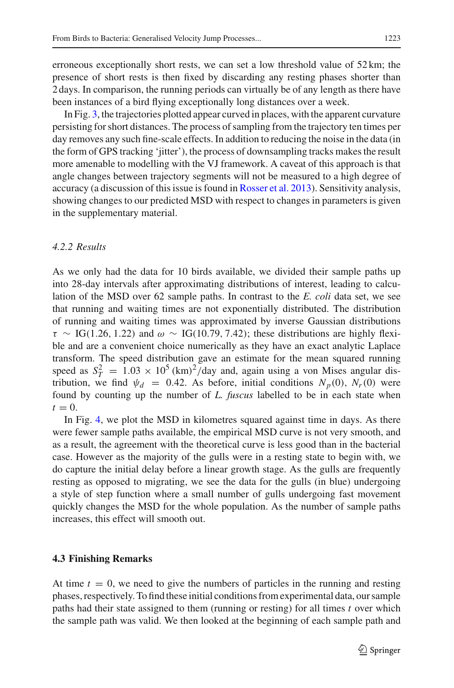erroneous exceptionally short rests, we can set a low threshold value of  $52 \text{ km}$ ; the presence of short rests is then fixed by discarding any resting phases shorter than 2 days. In comparison, the running periods can virtually be of any length as there have been instances of a bird flying exceptionally long distances over a week.

In Fig. [3,](#page-9-0) the trajectories plotted appear curved in places, with the apparent curvature persisting for short distances. The process of sampling from the trajectory ten times per day removes any such fine-scale effects. In addition to reducing the noise in the data (in the form of GPS tracking 'jitter'), the process of downsampling tracks makes the result more amenable to modelling with the VJ framework. A caveat of this approach is that angle changes between trajectory segments will not be measured to a high degree of accuracy (a discussion of this issue is found in [Rosser et al. 2013\)](#page-23-17). Sensitivity analysis, showing changes to our predicted MSD with respect to changes in parameters is given in the supplementary material.

#### *4.2.2 Results*

As we only had the data for 10 birds available, we divided their sample paths up into 28-day intervals after approximating distributions of interest, leading to calculation of the MSD over 62 sample paths. In contrast to the *E. coli* data set, we see that running and waiting times are not exponentially distributed. The distribution of running and waiting times was approximated by inverse Gaussian distributions  $\tau \sim$  IG(1.26, 1.22) and  $\omega \sim$  IG(10.79, 7.42); these distributions are highly flexible and are a convenient choice numerically as they have an exact analytic Laplace transform. The speed distribution gave an estimate for the mean squared running speed as  $S_T^2 = 1.03 \times 10^5 \text{ (km)}^2/\text{day}$  and, again using a von Mises angular distribution, we find  $\psi_d = 0.42$ . As before, initial conditions  $N_p(0)$ ,  $N_r(0)$  were found by counting up the number of *L. fuscus* labelled to be in each state when  $t=0$ .

In Fig. [4,](#page-11-0) we plot the MSD in kilometres squared against time in days. As there were fewer sample paths available, the empirical MSD curve is not very smooth, and as a result, the agreement with the theoretical curve is less good than in the bacterial case. However as the majority of the gulls were in a resting state to begin with, we do capture the initial delay before a linear growth stage. As the gulls are frequently resting as opposed to migrating, we see the data for the gulls (in blue) undergoing a style of step function where a small number of gulls undergoing fast movement quickly changes the MSD for the whole population. As the number of sample paths increases, this effect will smooth out.

## **4.3 Finishing Remarks**

At time  $t = 0$ , we need to give the numbers of particles in the running and resting phases, respectively. To find these initial conditions from experimental data, our sample paths had their state assigned to them (running or resting) for all times *t* over which the sample path was valid. We then looked at the beginning of each sample path and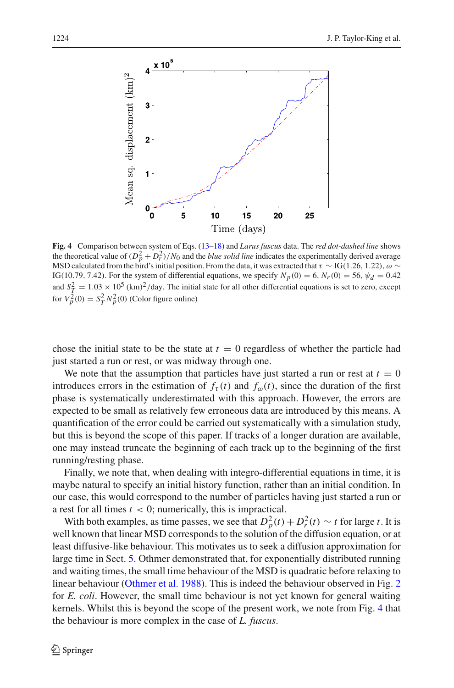

<span id="page-11-0"></span>**Fig. 4** Comparison between system of Eqs. [\(13–](#page-5-0)[18\)](#page-6-0) and *Larus fuscus* data. The *red dot-dashed line* shows the theoretical value of  $(D_p^2 + D_r^2)/N_0$  and the *blue solid line* indicates the experimentally derived average MSD calculated from the bird's initial position. From the data, it was extracted that  $\tau \sim IG(1.26, 1.22), \omega \sim$ IG(10.79, 7.42). For the system of differential equations, we specify  $N_p(0) = 6$ ,  $N_r(0) = 56$ ,  $\psi_d = 0.42$ and  $S_T^2 = 1.03 \times 10^5 \text{ (km)}^2/\text{day}$ . The initial state for all other differential equations is set to zero, except for  $V_p^2(0) = S_T^2 N_p^2(0)$  (Color figure online)

chose the initial state to be the state at  $t = 0$  regardless of whether the particle had just started a run or rest, or was midway through one.

We note that the assumption that particles have just started a run or rest at  $t = 0$ introduces errors in the estimation of  $f_{\tau}(t)$  and  $f_{\omega}(t)$ , since the duration of the first phase is systematically underestimated with this approach. However, the errors are expected to be small as relatively few erroneous data are introduced by this means. A quantification of the error could be carried out systematically with a simulation study, but this is beyond the scope of this paper. If tracks of a longer duration are available, one may instead truncate the beginning of each track up to the beginning of the first running/resting phase.

Finally, we note that, when dealing with integro-differential equations in time, it is maybe natural to specify an initial history function, rather than an initial condition. In our case, this would correspond to the number of particles having just started a run or a rest for all times *t* < 0; numerically, this is impractical.

With both examples, as time passes, we see that  $D_p^2(t) + D_r^2(t) \sim t$  for large *t*. It is well known that linear MSD corresponds to the solution of the diffusion equation, or at least diffusive-like behaviour. This motivates us to seek a diffusion approximation for large time in Sect. [5.](#page-12-0) Othmer demonstrated that, for exponentially distributed running and waiting times, the small time behaviour of the MSD is quadratic before relaxing to linear behaviour [\(Othmer et al. 1988\)](#page-23-3). This is indeed the behaviour observed in Fig. [2](#page-8-0) for *E. coli*. However, the small time behaviour is not yet known for general waiting kernels. Whilst this is beyond the scope of the present work, we note from Fig. [4](#page-11-0) that the behaviour is more complex in the case of *L. fuscus*.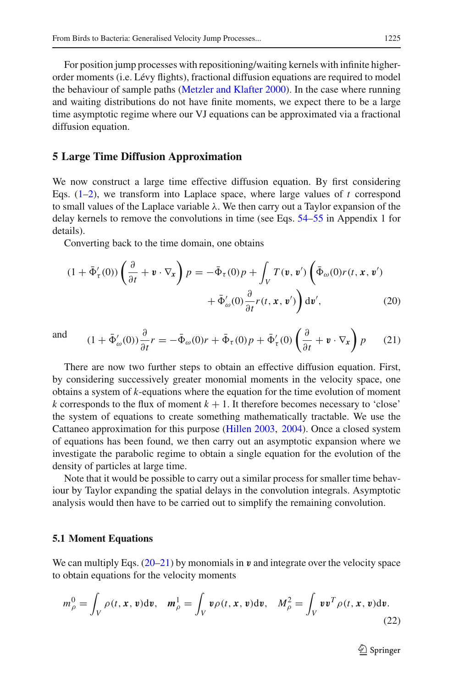For position jump processes with repositioning/waiting kernels with infinite higherorder moments (i.e. Lévy flights), fractional diffusion equations are required to model the behaviour of sample paths [\(Metzler and Klafter 2000\)](#page-23-5). In the case where running and waiting distributions do not have finite moments, we expect there to be a large time asymptotic regime where our VJ equations can be approximated via a fractional diffusion equation.

## <span id="page-12-0"></span>**5 Large Time Diffusion Approximation**

We now construct a large time effective diffusion equation. By first considering Eqs.  $(1-2)$  $(1-2)$ , we transform into Laplace space, where large values of *t* correspond to small values of the Laplace variable  $\lambda$ . We then carry out a Taylor expansion of the delay kernels to remove the convolutions in time (see Eqs. [54](#page-20-0)[–55](#page-21-0) in Appendix 1 for details).

Converting back to the time domain, one obtains

<span id="page-12-1"></span>
$$
(1 + \bar{\Phi}'_t(0)) \left( \frac{\partial}{\partial t} + \mathbf{v} \cdot \nabla_x \right) p = -\bar{\Phi}_t(0) p + \int_V T(\mathbf{v}, \mathbf{v}') \left( \bar{\Phi}_\omega(0) r(t, x, \mathbf{v}') \right. \\ \left. + \bar{\Phi}'_\omega(0) \frac{\partial}{\partial t} r(t, x, \mathbf{v}') \right) \mathrm{d}\mathbf{v}', \tag{20}
$$

<span id="page-12-2"></span>

and 
$$
(1 + \bar{\Phi}'_{\omega}(0))\frac{\partial}{\partial t}r = -\bar{\Phi}_{\omega}(0)r + \bar{\Phi}_{\tau}(0)p + \bar{\Phi}'_{\tau}(0)\left(\frac{\partial}{\partial t} + \mathbf{v} \cdot \nabla_{\mathbf{x}}\right)p
$$
 (21)

There are now two further steps to obtain an effective diffusion equation. First, by considering successively greater monomial moments in the velocity space, one obtains a system of *k*-equations where the equation for the time evolution of moment *k* corresponds to the flux of moment  $k + 1$ . It therefore becomes necessary to 'close' the system of equations to create something mathematically tractable. We use the Cattaneo approximation for this purpose [\(Hillen 2003](#page-22-1), [2004\)](#page-23-7). Once a closed system of equations has been found, we then carry out an asymptotic expansion where we investigate the parabolic regime to obtain a single equation for the evolution of the density of particles at large time.

Note that it would be possible to carry out a similar process for smaller time behaviour by Taylor expanding the spatial delays in the convolution integrals. Asymptotic analysis would then have to be carried out to simplify the remaining convolution.

#### **5.1 Moment Equations**

We can multiply Eqs.  $(20-21)$  $(20-21)$  by monomials in  $\nu$  and integrate over the velocity space to obtain equations for the velocity moments

$$
m_{\rho}^{0} = \int_{V} \rho(t, \mathbf{x}, \mathbf{v}) \mathrm{d}\mathbf{v}, \quad \mathbf{m}_{\rho}^{1} = \int_{V} \mathbf{v} \rho(t, \mathbf{x}, \mathbf{v}) \mathrm{d}\mathbf{v}, \quad M_{\rho}^{2} = \int_{V} \mathbf{v} \mathbf{v}^{T} \rho(t, \mathbf{x}, \mathbf{v}) \mathrm{d}\mathbf{v}.
$$
 (22)

 $\mathcal{D}$  Springer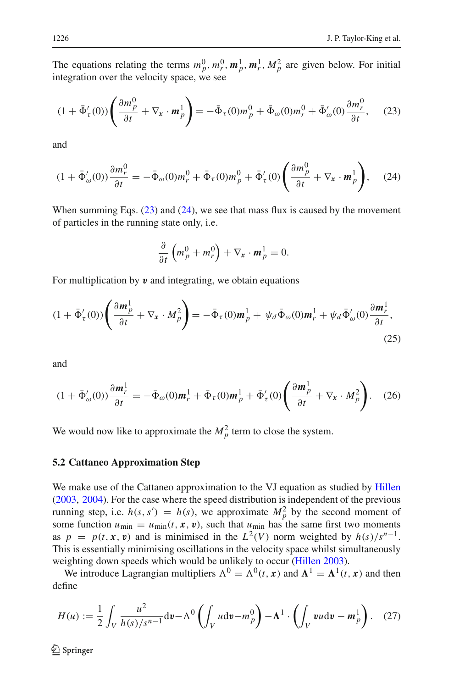The equations relating the terms  $m_p^0, m_r^0, m_p^1, m_r^1, M_p^2$  are given below. For initial integration over the velocity space, we see

<span id="page-13-0"></span>
$$
(1 + \bar{\Phi}'_{\tau}(0))\left(\frac{\partial m_p^0}{\partial t} + \nabla_x \cdot \mathbf{m}_p^1\right) = -\bar{\Phi}_{\tau}(0)m_p^0 + \bar{\Phi}_{\omega}(0)m_r^0 + \bar{\Phi}'_{\omega}(0)\frac{\partial m_r^0}{\partial t},\tag{23}
$$

and

<span id="page-13-1"></span>
$$
(1 + \bar{\Phi}'_{\omega}(0))\frac{\partial m_r^0}{\partial t} = -\bar{\Phi}_{\omega}(0)m_r^0 + \bar{\Phi}_{\tau}(0)m_p^0 + \bar{\Phi}'_{\tau}(0)\left(\frac{\partial m_p^0}{\partial t} + \nabla_{\mathbf{x}} \cdot \mathbf{m}_p^1\right), \quad (24)
$$

When summing Eqs. [\(23\)](#page-13-0) and [\(24\)](#page-13-1), we see that mass flux is caused by the movement of particles in the running state only, i.e.

$$
\frac{\partial}{\partial t}\left(m_p^0 + m_r^0\right) + \nabla_{\mathbf{x}} \cdot \mathbf{m}_p^1 = 0.
$$

For multiplication by *v* and integrating, we obtain equations

$$
(1 + \bar{\Phi}'_t(0)) \left( \frac{\partial \mathbf{m}^1_p}{\partial t} + \nabla_x \cdot M_p^2 \right) = -\bar{\Phi}_t(0) \mathbf{m}^1_p + \psi_d \bar{\Phi}_\omega(0) \mathbf{m}^1_r + \psi_d \bar{\Phi}'_\omega(0) \frac{\partial \mathbf{m}^1_r}{\partial t},
$$
\n(25)

and

$$
(1 + \bar{\Phi}'_{\omega}(0))\frac{\partial \mathbf{m}_r^1}{\partial t} = -\bar{\Phi}_{\omega}(0)\mathbf{m}_r^1 + \bar{\Phi}_{\tau}(0)\mathbf{m}_p^1 + \bar{\Phi}'_{\tau}(0)\left(\frac{\partial \mathbf{m}_p^1}{\partial t} + \nabla_{\mathbf{x}} \cdot \mathbf{M}_p^2\right). \tag{26}
$$

We would now like to approximate the  $M_p^2$  term to close the system.

#### **5.2 Cattaneo Approximation Step**

We make use of the Cattaneo approximation to the VJ equation as studied by [Hillen](#page-22-1) [\(2003,](#page-22-1) [2004\)](#page-23-7). For the case where the speed distribution is independent of the previous running step, i.e.  $h(s, s') = h(s)$ , we approximate  $M_p^2$  by the second moment of some function  $u_{\text{min}} = u_{\text{min}}(t, x, v)$ , such that  $u_{\text{min}}$  has the same first two moments as  $p = p(t, x, v)$  and is minimised in the  $L^2(V)$  norm weighted by  $h(s)/s^{n-1}$ . This is essentially minimising oscillations in the velocity space whilst simultaneously weighting down speeds which would be unlikely to occur [\(Hillen 2003](#page-22-1)).

We introduce Lagrangian multipliers  $\Lambda^0 = \Lambda^0(t, x)$  and  $\Lambda^1 = \Lambda^1(t, x)$  and then define

$$
H(u) := \frac{1}{2} \int_V \frac{u^2}{h(s)/s^{n-1}} \mathrm{d}v - \Lambda^0 \left( \int_V u \mathrm{d}v - m_p^0 \right) - \Lambda^1 \cdot \left( \int_V v u \mathrm{d}v - m_p^1 \right). \tag{27}
$$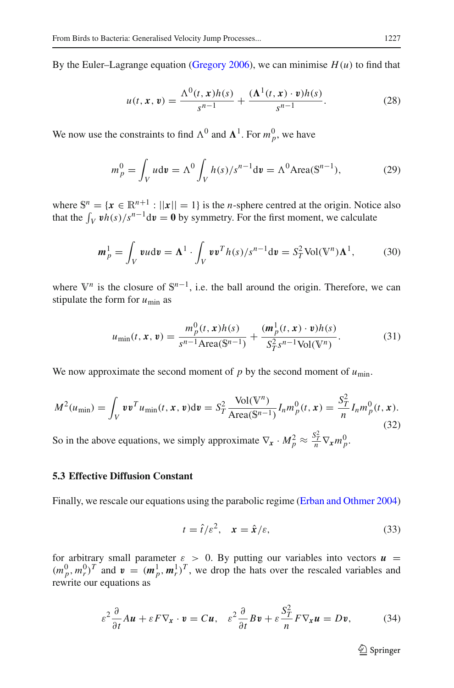By the Euler–Lagrange equation [\(Gregory 2006\)](#page-22-23), we can minimise  $H(u)$  to find that

$$
u(t, \mathbf{x}, \mathbf{v}) = \frac{\Lambda^0(t, \mathbf{x})h(s)}{s^{n-1}} + \frac{(\Lambda^1(t, \mathbf{x}) \cdot \mathbf{v})h(s)}{s^{n-1}}.
$$
 (28)

We now use the constraints to find  $\Lambda^0$  and  $\Lambda^1$ . For  $m_p^0$ , we have

$$
m_p^0 = \int_V u \mathrm{d}\mathbf{v} = \Lambda^0 \int_V h(s) / s^{n-1} \mathrm{d}\mathbf{v} = \Lambda^0 \text{Area}(\mathbb{S}^{n-1}),\tag{29}
$$

where  $\mathbb{S}^n = \{x \in \mathbb{R}^{n+1} : ||x|| = 1\}$  is the *n*-sphere centred at the origin. Notice also that the  $\int_V v h(s) / s^{n-1} dv = 0$  by symmetry. For the first moment, we calculate

$$
\mathbf{m}_p^1 = \int_V \mathbf{v} u \mathrm{d} \mathbf{v} = \mathbf{\Lambda}^1 \cdot \int_V \mathbf{v} \mathbf{v}^T h(s) / s^{n-1} \mathrm{d} \mathbf{v} = S_T^2 \text{Vol}(\mathbb{V}^n) \mathbf{\Lambda}^1, \tag{30}
$$

where V*<sup>n</sup>* is the closure of S*n*−1, i.e. the ball around the origin. Therefore, we can stipulate the form for  $u_{\text{min}}$  as

$$
u_{\min}(t, \mathbf{x}, \mathbf{v}) = \frac{m_p^0(t, \mathbf{x})h(s)}{s^{n-1}\text{Area}(\mathbb{S}^{n-1})} + \frac{(m_p^1(t, \mathbf{x}) \cdot \mathbf{v})h(s)}{S_T^2 s^{n-1} \text{Vol}(\mathbb{V}^n)}.
$$
(31)

We now approximate the second moment of  $p$  by the second moment of  $u_{\text{min}}$ .

$$
M^{2}(u_{\min}) = \int_{V} \boldsymbol{v} \boldsymbol{v}^{T} u_{\min}(t, \boldsymbol{x}, \boldsymbol{v}) d\boldsymbol{v} = S_{T}^{2} \frac{\text{Vol}(\mathbb{V}^{n})}{\text{Area}(\mathbb{S}^{n-1})} I_{n} m_{p}^{0}(t, \boldsymbol{x}) = \frac{S_{T}^{2}}{n} I_{n} m_{p}^{0}(t, \boldsymbol{x}).
$$
\n(32)

So in the above equations, we simply approximate  $\nabla_x \cdot M_p^2 \approx \frac{S_T^2}{n} \nabla_x m_p^0$ .

## **5.3 Effective Diffusion Constant**

Finally, we rescale our equations using the parabolic regime [\(Erban and Othmer 2004\)](#page-22-8)

$$
t = \hat{t}/\varepsilon^2, \quad \mathbf{x} = \hat{\mathbf{x}}/\varepsilon,\tag{33}
$$

for arbitrary small parameter  $\varepsilon > 0$ . By putting our variables into vectors  $\boldsymbol{u} =$  $(m_p^0, m_r^0)^T$  and  $v = (m_p^1, m_r^1)^T$ , we drop the hats over the rescaled variables and rewrite our equations as

$$
\varepsilon^2 \frac{\partial}{\partial t} A \mathbf{u} + \varepsilon F \nabla_x \cdot \mathbf{v} = C \mathbf{u}, \quad \varepsilon^2 \frac{\partial}{\partial t} B \mathbf{v} + \varepsilon \frac{S_T^2}{n} F \nabla_x \mathbf{u} = D \mathbf{v}, \tag{34}
$$

 $\mathcal{D}$  Springer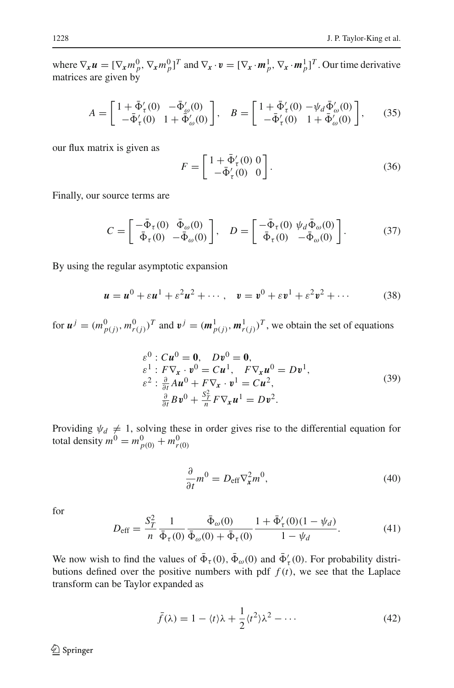where  $\nabla_x u = [\nabla_x m_p^0, \nabla_x m_p^0]^T$  and  $\nabla_x \cdot v = [\nabla_x \cdot m_p^1, \nabla_x \cdot m_p^1]^T$ . Our time derivative matrices are given by

$$
A = \begin{bmatrix} 1 + \bar{\Phi}'_t(0) & -\bar{\Phi}'_0(0) \\ -\bar{\Phi}'_t(0) & 1 + \bar{\Phi}'_0(0) \end{bmatrix}, \quad B = \begin{bmatrix} 1 + \bar{\Phi}'_t(0) - \psi_d \bar{\Phi}'_0(0) \\ -\bar{\Phi}'_t(0) & 1 + \bar{\Phi}'_0(0) \end{bmatrix}, \tag{35}
$$

our flux matrix is given as

$$
F = \begin{bmatrix} 1 + \bar{\Phi}'_t(0) & 0 \\ -\bar{\Phi}'_t(0) & 0 \end{bmatrix}.
$$
 (36)

Finally, our source terms are

$$
C = \begin{bmatrix} -\bar{\Phi}_{\tau}(0) & \bar{\Phi}_{\omega}(0) \\ \bar{\Phi}_{\tau}(0) & -\bar{\Phi}_{\omega}(0) \end{bmatrix}, \quad D = \begin{bmatrix} -\bar{\Phi}_{\tau}(0) & \psi_{d}\bar{\Phi}_{\omega}(0) \\ \bar{\Phi}_{\tau}(0) & -\bar{\Phi}_{\omega}(0) \end{bmatrix}.
$$
 (37)

By using the regular asymptotic expansion

$$
\mathbf{u} = \mathbf{u}^0 + \varepsilon \mathbf{u}^1 + \varepsilon^2 \mathbf{u}^2 + \cdots, \quad \mathbf{v} = \mathbf{v}^0 + \varepsilon \mathbf{v}^1 + \varepsilon^2 \mathbf{v}^2 + \cdots
$$
 (38)

for  $u^j = (m_{p(j)}^0, m_{r(j)}^0)^T$  and  $v^j = (m_{p(j)}^1, m_{r(j)}^1)^T$ , we obtain the set of equations

$$
\varepsilon^{0}: Cu^{0} = 0, Dv^{0} = 0,\n\varepsilon^{1}: F\nabla_{x} \cdot v^{0} = Cu^{1}, F\nabla_{x} u^{0} = Dv^{1},\n\varepsilon^{2}: \frac{\partial}{\partial t} Au^{0} + F\nabla_{x} \cdot v^{1} = Cu^{2},\n\frac{\partial}{\partial t} Bv^{0} + \frac{S_{T}^{2}}{n} F\nabla_{x} u^{1} = Dv^{2}.
$$
\n(39)

Providing  $\psi_d \neq 1$ , solving these in order gives rise to the differential equation for total density  $m^0 = m_{p(0)}^0 + m_{r(0)}^0$ 

$$
\frac{\partial}{\partial t}m^0 = D_{\text{eff}} \nabla_x^2 m^0,\tag{40}
$$

for

$$
D_{\text{eff}} = \frac{S_T^2}{n} \frac{1}{\bar{\Phi}_{\tau}(0)} \frac{\bar{\Phi}_{\omega}(0)}{\bar{\Phi}_{\omega}(0) + \bar{\Phi}_{\tau}(0)} \frac{1 + \bar{\Phi}_{\tau}'(0)(1 - \psi_d)}{1 - \psi_d}.
$$
(41)

We now wish to find the values of  $\Phi_{\tau}(0)$ ,  $\Phi_{\omega}(0)$  and  $\Phi_{\tau}'(0)$ . For probability distributions defined over the positive numbers with pdf  $f(t)$ , we see that the Laplace transform can be Taylor expanded as

$$
\bar{f}(\lambda) = 1 - \langle t \rangle \lambda + \frac{1}{2} \langle t^2 \rangle \lambda^2 - \dots \tag{42}
$$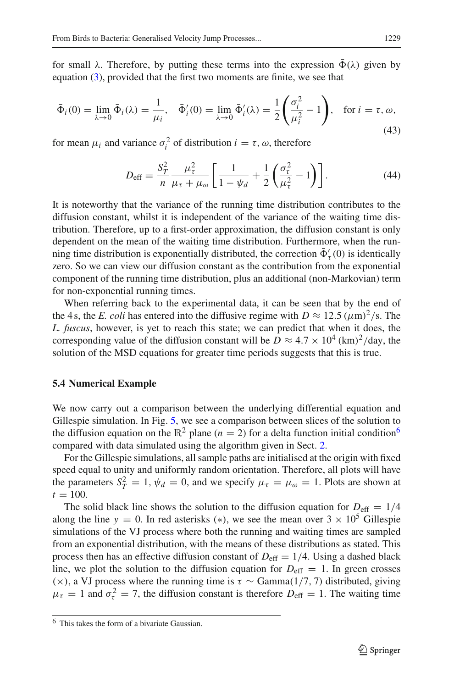for small  $\lambda$ . Therefore, by putting these terms into the expression  $\bar{\Phi}(\lambda)$  given by equation [\(3\)](#page-4-3), provided that the first two moments are finite, we see that

$$
\bar{\Phi}_i(0) = \lim_{\lambda \to 0} \bar{\Phi}_i(\lambda) = \frac{1}{\mu_i}, \quad \bar{\Phi}'_i(0) = \lim_{\lambda \to 0} \bar{\Phi}'_i(\lambda) = \frac{1}{2} \left( \frac{\sigma_i^2}{\mu_i^2} - 1 \right), \quad \text{for } i = \tau, \omega,
$$
\n(43)

for mean  $\mu_i$  and variance  $\sigma_i^2$  of distribution  $i = \tau, \omega$ , therefore

$$
D_{\text{eff}} = \frac{S_T^2}{n} \frac{\mu_{\tau}^2}{\mu_{\tau} + \mu_{\omega}} \left[ \frac{1}{1 - \psi_d} + \frac{1}{2} \left( \frac{\sigma_{\tau}^2}{\mu_{\tau}^2} - 1 \right) \right]. \tag{44}
$$

<span id="page-16-1"></span>It is noteworthy that the variance of the running time distribution contributes to the diffusion constant, whilst it is independent of the variance of the waiting time distribution. Therefore, up to a first-order approximation, the diffusion constant is only dependent on the mean of the waiting time distribution. Furthermore, when the running time distribution is exponentially distributed, the correction  $\Phi_{\tau}'(0)$  is identically zero. So we can view our diffusion constant as the contribution from the exponential component of the running time distribution, plus an additional (non-Markovian) term for non-exponential running times.

When referring back to the experimental data, it can be seen that by the end of the 4 s, the *E. coli* has entered into the diffusive regime with  $D \approx 12.5 \, (\mu \text{m})^2/\text{s}$ . The *L. fuscus*, however, is yet to reach this state; we can predict that when it does, the corresponding value of the diffusion constant will be  $D \approx 4.7 \times 10^4$  (km)<sup>2</sup>/day, the solution of the MSD equations for greater time periods suggests that this is true.

#### **5.4 Numerical Example**

We now carry out a comparison between the underlying differential equation and Gillespie simulation. In Fig. [5,](#page-17-0) we see a comparison between slices of the solution to the diffusion equation on the  $\mathbb{R}^2$  plane (*n* = 2) for a delta function initial condition<sup>6</sup> compared with data simulated using the algorithm given in Sect. [2.](#page-3-0)

For the Gillespie simulations, all sample paths are initialised at the origin with fixed speed equal to unity and uniformly random orientation. Therefore, all plots will have the parameters  $S_T^2 = 1$ ,  $\psi_d = 0$ , and we specify  $\mu_{\tau} = \mu_{\omega} = 1$ . Plots are shown at  $t = 100$ .

The solid black line shows the solution to the diffusion equation for  $D_{\text{eff}} = 1/4$ along the line *y* = 0. In red asterisks (\*), we see the mean over  $3 \times 10^5$  Gillespie simulations of the VJ process where both the running and waiting times are sampled from an exponential distribution, with the means of these distributions as stated. This process then has an effective diffusion constant of  $D_{\text{eff}} = 1/4$ . Using a dashed black line, we plot the solution to the diffusion equation for  $D_{\text{eff}} = 1$ . In green crosses ( $\times$ ), a VJ process where the running time is  $\tau \sim \text{Gamma}(1/7, 7)$  distributed, giving  $\mu_{\tau} = 1$  and  $\sigma_{\tau}^2 = 7$ , the diffusion constant is therefore  $D_{\text{eff}} = 1$ . The waiting time

<span id="page-16-0"></span><sup>6</sup> This takes the form of a bivariate Gaussian.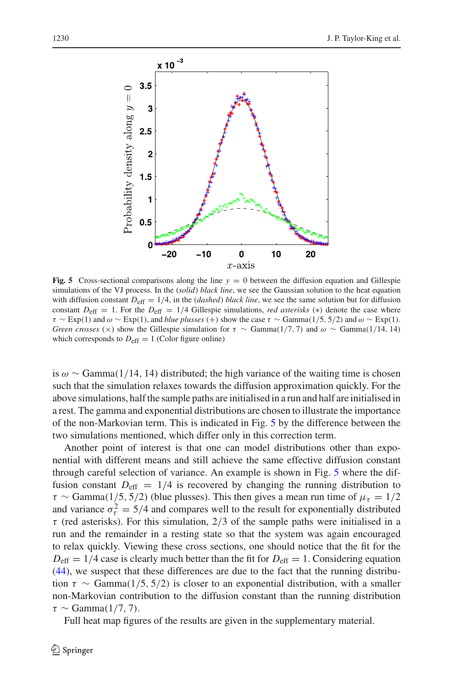

<span id="page-17-0"></span>**Fig. 5** Cross-sectional comparisons along the line  $y = 0$  between the diffusion equation and Gillespie simulations of the VJ process. In the (*solid*) *black line*, we see the Gaussian solution to the heat equation with diffusion constant  $D_{\text{eff}} = 1/4$ , in the *(dashed) black line*, we see the same solution but for diffusion constant  $D_{\text{eff}} = 1$ . For the  $D_{\text{eff}} = 1/4$  Gillespie simulations, *red asterisks* (\*) denote the case where  $\tau \sim \text{Exp}(1)$  and  $\omega \sim \text{Exp}(1)$ , and *blue plusses* (+) show the case  $\tau \sim \text{Gamma}(1/5, 5/2)$  and  $\omega \sim \text{Exp}(1)$ . *Green crosses* ( $\times$ ) show the Gillespie simulation for  $\tau \sim$  Gamma(1/7, 7) and  $\omega \sim$  Gamma(1/14, 14) which corresponds to  $D_{\text{eff}} = 1$  (Color figure online)

is  $\omega \sim \text{Gamma}(1/14, 14)$  distributed; the high variance of the waiting time is chosen such that the simulation relaxes towards the diffusion approximation quickly. For the above simulations, half the sample paths are initialised in a run and half are initialised in a rest. The gamma and exponential distributions are chosen to illustrate the importance of the non-Markovian term. This is indicated in Fig. [5](#page-17-0) by the difference between the two simulations mentioned, which differ only in this correction term.

Another point of interest is that one can model distributions other than exponential with different means and still achieve the same effective diffusion constant through careful selection of variance. An example is shown in Fig. [5](#page-17-0) where the diffusion constant  $D_{\text{eff}} = 1/4$  is recovered by changing the running distribution to  $\tau \sim \text{Gamma}(1/5, 5/2)$  (blue plusses). This then gives a mean run time of  $\mu_{\tau} = 1/2$ and variance  $\sigma_{\tau}^2 = 5/4$  and compares well to the result for exponentially distributed  $\tau$  (red asterisks). For this simulation, 2/3 of the sample paths were initialised in a run and the remainder in a resting state so that the system was again encouraged to relax quickly. Viewing these cross sections, one should notice that the fit for the  $D_{\text{eff}} = 1/4$  case is clearly much better than the fit for  $D_{\text{eff}} = 1$ . Considering equation [\(44\)](#page-16-1), we suspect that these differences are due to the fact that the running distribution  $\tau \sim \text{Gamma}(1/5, 5/2)$  is closer to an exponential distribution, with a smaller non-Markovian contribution to the diffusion constant than the running distribution  $\tau \sim \text{Gamma}(1/7, 7)$ .

Full heat map figures of the results are given in the supplementary material.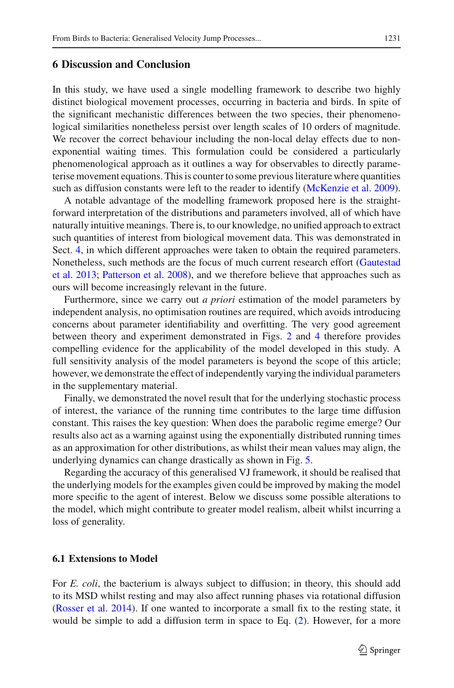# **6 Discussion and Conclusion**

In this study, we have used a single modelling framework to describe two highly distinct biological movement processes, occurring in bacteria and birds. In spite of the significant mechanistic differences between the two species, their phenomenological similarities nonetheless persist over length scales of 10 orders of magnitude. We recover the correct behaviour including the non-local delay effects due to nonexponential waiting times. This formulation could be considered a particularly phenomenological approach as it outlines a way for observables to directly parameterise movement equations. This is counter to some previous literature where quantities such as diffusion constants were left to the reader to identify [\(McKenzie et al. 2009](#page-23-18)).

A notable advantage of the modelling framework proposed here is the straightforward interpretation of the distributions and parameters involved, all of which have naturally intuitive meanings. There is, to our knowledge, no unified approach to extract such quantities of interest from biological movement data. This was demonstrated in Sect. [4,](#page-6-1) in which different approaches were taken to obtain the required parameters. Non[etheless,](#page-22-24) [such](#page-22-24) [methods](#page-22-24) [are](#page-22-24) [the](#page-22-24) [focus](#page-22-24) [of](#page-22-24) [much](#page-22-24) [current](#page-22-24) [research](#page-22-24) [effort](#page-22-24) [\(](#page-22-24)Gautestad et al. [2013](#page-22-24); [Patterson et al. 2008\)](#page-23-19), and we therefore believe that approaches such as ours will become increasingly relevant in the future.

Furthermore, since we carry out *a priori* estimation of the model parameters by independent analysis, no optimisation routines are required, which avoids introducing concerns about parameter identifiability and overfitting. The very good agreement between theory and experiment demonstrated in Figs. [2](#page-8-0) and [4](#page-11-0) therefore provides compelling evidence for the applicability of the model developed in this study. A full sensitivity analysis of the model parameters is beyond the scope of this article; however, we demonstrate the effect of independently varying the individual parameters in the supplementary material.

Finally, we demonstrated the novel result that for the underlying stochastic process of interest, the variance of the running time contributes to the large time diffusion constant. This raises the key question: When does the parabolic regime emerge? Our results also act as a warning against using the exponentially distributed running times as an approximation for other distributions, as whilst their mean values may align, the underlying dynamics can change drastically as shown in Fig. [5.](#page-17-0)

Regarding the accuracy of this generalised VJ framework, it should be realised that the underlying models for the examples given could be improved by making the model more specific to the agent of interest. Below we discuss some possible alterations to the model, which might contribute to greater model realism, albeit whilst incurring a loss of generality.

#### **6.1 Extensions to Model**

For *E. coli*, the bacterium is always subject to diffusion; in theory, this should add to its MSD whilst resting and may also affect running phases via rotational diffusion [\(Rosser et al. 2014\)](#page-23-14). If one wanted to incorporate a small fix to the resting state, it would be simple to add a diffusion term in space to Eq. [\(2\)](#page-4-2). However, for a more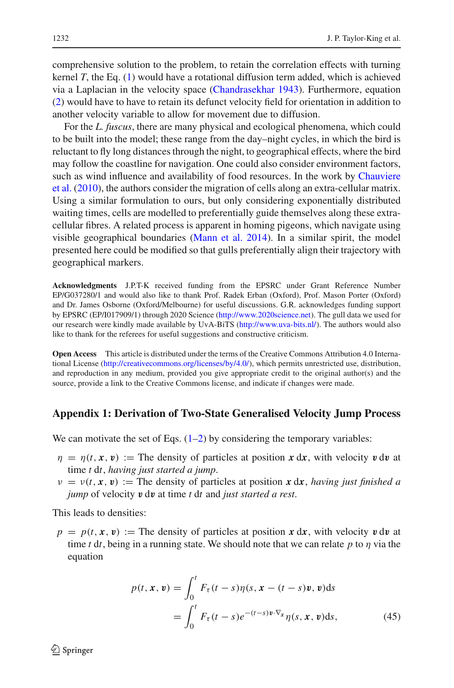comprehensive solution to the problem, to retain the correlation effects with turning kernel *T*, the Eq. [\(1\)](#page-4-1) would have a rotational diffusion term added, which is achieved via a Laplacian in the velocity space [\(Chandrasekhar 1943](#page-22-25)). Furthermore, equation [\(2\)](#page-4-2) would have to have to retain its defunct velocity field for orientation in addition to another velocity variable to allow for movement due to diffusion.

For the *L. fuscus*, there are many physical and ecological phenomena, which could to be built into the model; these range from the day–night cycles, in which the bird is reluctant to fly long distances through the night, to geographical effects, where the bird may follow the coastline for navigation. One could also consider environment factors, such [as](#page-22-17) [wind](#page-22-17) [influence](#page-22-17) [and](#page-22-17) [availability](#page-22-17) [of](#page-22-17) [food](#page-22-17) [resources.](#page-22-17) [In](#page-22-17) [the](#page-22-17) [work](#page-22-17) [by](#page-22-17) Chauviere et al. [\(2010\)](#page-22-17), the authors consider the migration of cells along an extra-cellular matrix. Using a similar formulation to ours, but only considering exponentially distributed waiting times, cells are modelled to preferentially guide themselves along these extracellular fibres. A related process is apparent in homing pigeons, which navigate using visible geographical boundaries [\(Mann et al. 2014\)](#page-23-20). In a similar spirit, the model presented here could be modified so that gulls preferentially align their trajectory with geographical markers.

**Acknowledgments** J.P.T-K received funding from the EPSRC under Grant Reference Number EP/G037280/1 and would also like to thank Prof. Radek Erban (Oxford), Prof. Mason Porter (Oxford) and Dr. James Osborne (Oxford/Melbourne) for useful discussions. G.R. acknowledges funding support by EPSRC (EP/I017909/1) through 2020 Science [\(http://www.2020science.net\)](http://www.2020science.net). The gull data we used for our research were kindly made available by UvA-BiTS [\(http://www.uva-bits.nl/\)](http://www.uva-bits.nl/). The authors would also like to thank for the referees for useful suggestions and constructive criticism.

**Open Access** This article is distributed under the terms of the Creative Commons Attribution 4.0 International License [\(http://creativecommons.org/licenses/by/4.0/\)](http://creativecommons.org/licenses/by/4.0/), which permits unrestricted use, distribution, and reproduction in any medium, provided you give appropriate credit to the original author(s) and the source, provide a link to the Creative Commons license, and indicate if changes were made.

## **Appendix 1: Derivation of Two-State Generalised Velocity Jump Process**

We can motivate the set of Eqs.  $(1-2)$  $(1-2)$  by considering the temporary variables:

- $\eta = \eta(t, x, v) :=$  The density of particles at position *x* d*x*, with velocity *v* d*v* at time *t* d*t*, *having just started a jump*.
- $v = v(t, x, v) :=$  The density of particles at position x dx, *having just finished a jump* of velocity *v* d*v* at time *t* d*t* and *just started a rest*.

This leads to densities:

<span id="page-19-0"></span> $p = p(t, x, v) :=$  The density of particles at position *x* d*x*, with velocity *v* d*v* at time *t* d*t*, being in a running state. We should note that we can relate *p* to η via the equation

$$
p(t, \mathbf{x}, \mathbf{v}) = \int_0^t F_\tau(t - s) \eta(s, \mathbf{x} - (t - s)\mathbf{v}, \mathbf{v}) ds
$$
  
= 
$$
\int_0^t F_\tau(t - s) e^{-(t - s)\mathbf{v} \cdot \nabla_{\mathbf{x}}} \eta(s, \mathbf{x}, \mathbf{v}) ds,
$$
 (45)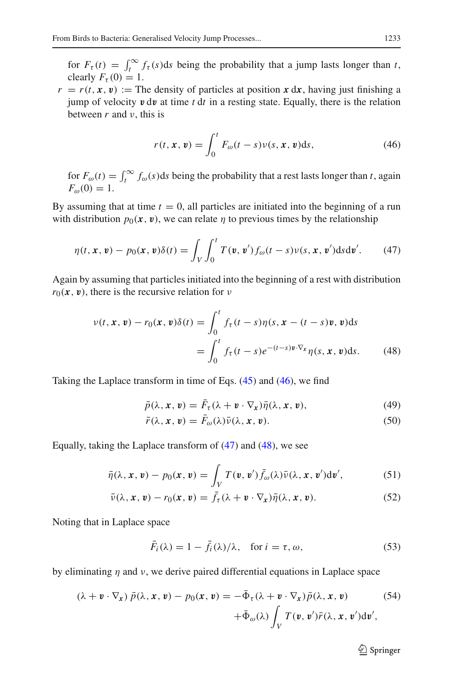for  $F_{\tau}(t) = \int_t^{\infty} f_{\tau}(s) ds$  being the probability that a jump lasts longer than *t*, clearly  $F_\tau(0) = 1$ .

 $r = r(t, x, v)$  := The density of particles at position *x* d*x*, having just finishing a jump of velocity *v* d*v* at time *t* d*t* in a resting state. Equally, there is the relation between *r* and ν, this is

$$
r(t, \mathbf{x}, \mathbf{v}) = \int_0^t F_{\omega}(t - s) \nu(s, \mathbf{x}, \mathbf{v}) \, \mathrm{d}s,\tag{46}
$$

<span id="page-20-1"></span>for  $F_{\omega}(t) = \int_t^{\infty} f_{\omega}(s) ds$  being the probability that a rest lasts longer than *t*, again  $F_{\omega}(0) = 1.$ 

By assuming that at time  $t = 0$ , all particles are initiated into the beginning of a run with distribution  $p_0(x, v)$ , we can relate  $\eta$  to previous times by the relationship

$$
\eta(t, \mathbf{x}, \mathbf{v}) - p_0(\mathbf{x}, \mathbf{v})\delta(t) = \int_V \int_0^t T(\mathbf{v}, \mathbf{v}') f_\omega(t - s) \nu(s, \mathbf{x}, \mathbf{v}') \mathrm{d} s \mathrm{d} \mathbf{v}'. \tag{47}
$$

<span id="page-20-3"></span><span id="page-20-2"></span>Again by assuming that particles initiated into the beginning of a rest with distribution  $r_0(x, v)$ , there is the recursive relation for *v* 

$$
v(t, \mathbf{x}, \mathbf{v}) - r_0(\mathbf{x}, \mathbf{v})\delta(t) = \int_0^t f_\tau(t - s)\eta(s, \mathbf{x} - (t - s)\mathbf{v}, \mathbf{v})ds
$$
  
= 
$$
\int_0^t f_\tau(t - s)e^{-(t - s)\mathbf{v}\cdot\nabla_{\mathbf{x}}}\eta(s, \mathbf{x}, \mathbf{v})ds.
$$
 (48)

Taking the Laplace transform in time of Eqs. [\(45\)](#page-19-0) and [\(46\)](#page-20-1), we find

$$
\bar{p}(\lambda, x, v) = \bar{F}_{\tau}(\lambda + v \cdot \nabla_x) \bar{\eta}(\lambda, x, v), \qquad (49)
$$

$$
\bar{r}(\lambda, \mathbf{x}, \mathbf{v}) = F_{\omega}(\lambda) \bar{\nu}(\lambda, \mathbf{x}, \mathbf{v}). \tag{50}
$$

Equally, taking the Laplace transform of [\(47\)](#page-20-2) and [\(48\)](#page-20-3), we see

$$
\bar{\eta}(\lambda, \mathbf{x}, \mathbf{v}) - p_0(\mathbf{x}, \mathbf{v}) = \int_V T(\mathbf{v}, \mathbf{v}') \bar{f}_{\omega}(\lambda) \bar{\nu}(\lambda, \mathbf{x}, \mathbf{v}') d\mathbf{v}',\tag{51}
$$

$$
\bar{\nu}(\lambda, \mathbf{x}, \mathbf{v}) - r_0(\mathbf{x}, \mathbf{v}) = \bar{f}_{\tau}(\lambda + \mathbf{v} \cdot \nabla_{\mathbf{x}}) \bar{\eta}(\lambda, \mathbf{x}, \mathbf{v}). \tag{52}
$$

Noting that in Laplace space

$$
\bar{F}_i(\lambda) = 1 - \bar{f}_i(\lambda) / \lambda, \quad \text{for } i = \tau, \omega,
$$
\n(53)

<span id="page-20-0"></span>by eliminating  $\eta$  and  $\nu$ , we derive paired differential equations in Laplace space

$$
(\lambda + \mathbf{v} \cdot \nabla_{\mathbf{x}}) \bar{p}(\lambda, \mathbf{x}, \mathbf{v}) - p_0(\mathbf{x}, \mathbf{v}) = -\bar{\Phi}_{\tau}(\lambda + \mathbf{v} \cdot \nabla_{\mathbf{x}}) \bar{p}(\lambda, \mathbf{x}, \mathbf{v})
$$
(54)  
 
$$
+ \bar{\Phi}_{\omega}(\lambda) \int_V T(\mathbf{v}, \mathbf{v}') \bar{r}(\lambda, \mathbf{x}, \mathbf{v}') \mathrm{d}\mathbf{v}',
$$

<sup>2</sup> Springer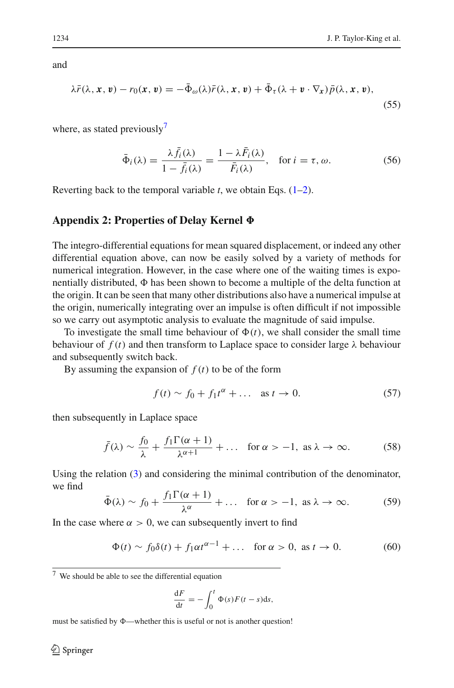<span id="page-21-0"></span>and

$$
\lambda \bar{r}(\lambda, x, v) - r_0(x, v) = -\bar{\Phi}_{\omega}(\lambda) \bar{r}(\lambda, x, v) + \bar{\Phi}_{\tau}(\lambda + v \cdot \nabla_x) \bar{p}(\lambda, x, v), \tag{55}
$$

where, as stated previously<sup>7</sup>

$$
\bar{\Phi}_i(\lambda) = \frac{\lambda f_i(\lambda)}{1 - \bar{f}_i(\lambda)} = \frac{1 - \lambda F_i(\lambda)}{\bar{F}_i(\lambda)}, \quad \text{for } i = \tau, \omega.
$$
 (56)

Reverting back to the temporal variable *t*, we obtain Eqs. [\(1](#page-4-1)[–2\)](#page-4-2).

## **Appendix 2: Properties of Delay Kernel**

The integro-differential equations for mean squared displacement, or indeed any other differential equation above, can now be easily solved by a variety of methods for numerical integration. However, in the case where one of the waiting times is exponentially distributed,  $\Phi$  has been shown to become a multiple of the delta function at the origin. It can be seen that many other distributions also have a numerical impulse at the origin, numerically integrating over an impulse is often difficult if not impossible so we carry out asymptotic analysis to evaluate the magnitude of said impulse.

To investigate the small time behaviour of  $\Phi(t)$ , we shall consider the small time behaviour of  $f(t)$  and then transform to Laplace space to consider large  $\lambda$  behaviour and subsequently switch back.

By assuming the expansion of  $f(t)$  to be of the form

$$
f(t) \sim f_0 + f_1 t^{\alpha} + \dots \quad \text{as } t \to 0. \tag{57}
$$

then subsequently in Laplace space

$$
\bar{f}(\lambda) \sim \frac{f_0}{\lambda} + \frac{f_1 \Gamma(\alpha + 1)}{\lambda^{\alpha + 1}} + \dots \quad \text{for } \alpha > -1, \text{ as } \lambda \to \infty. \tag{58}
$$

Using the relation [\(3\)](#page-4-3) and considering the minimal contribution of the denominator, we find

$$
\bar{\Phi}(\lambda) \sim f_0 + \frac{f_1 \Gamma(\alpha + 1)}{\lambda^{\alpha}} + \dots \quad \text{for } \alpha > -1, \text{ as } \lambda \to \infty. \tag{59}
$$

In the case where  $\alpha > 0$ , we can subsequently invert to find

$$
\Phi(t) \sim f_0 \delta(t) + f_1 \alpha t^{\alpha - 1} + \dots \quad \text{for } \alpha > 0, \text{ as } t \to 0. \tag{60}
$$

$$
\frac{\mathrm{d}F}{\mathrm{d}t} = -\int_0^t \Phi(s) F(t-s) \mathrm{d}s,
$$

must be satisfied by  $\Phi$ —whether this is useful or not is another question!

<span id="page-21-1"></span> $7$  We should be able to see the differential equation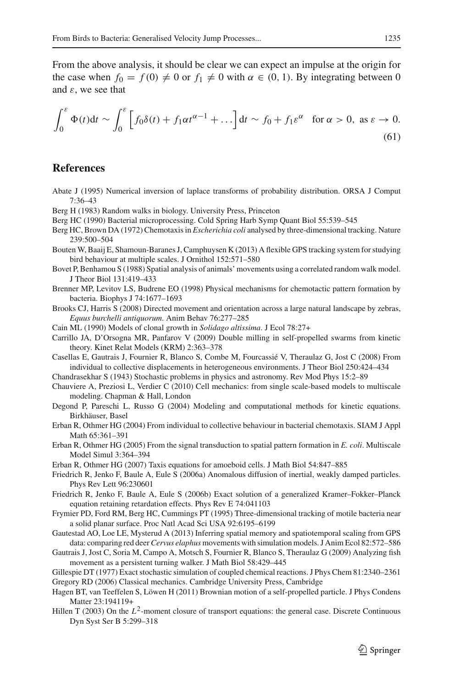From the above analysis, it should be clear we can expect an impulse at the origin for the case when  $f_0 = f(0) \neq 0$  or  $f_1 \neq 0$  with  $\alpha \in (0, 1)$ . By integrating between 0 and  $\varepsilon$ , we see that

$$
\int_0^{\varepsilon} \Phi(t) dt \sim \int_0^{\varepsilon} \left[ f_0 \delta(t) + f_1 \alpha t^{\alpha - 1} + \dots \right] dt \sim f_0 + f_1 \varepsilon^{\alpha} \quad \text{for } \alpha > 0, \text{ as } \varepsilon \to 0.
$$
\n(61)

# **References**

- <span id="page-22-19"></span>Abate J (1995) Numerical inversion of laplace transforms of probability distribution. ORSA J Comput 7:36–43
- <span id="page-22-2"></span>Berg H (1983) Random walks in biology. University Press, Princeton
- <span id="page-22-3"></span>Berg HC (1990) Bacterial microprocessing. Cold Spring Harb Symp Quant Biol 55:539–545
- <span id="page-22-20"></span>Berg HC, Brown DA (1972) Chemotaxis in *Escherichia coli* analysed by three-dimensional tracking. Nature 239:500–504
- <span id="page-22-22"></span>Bouten W, Baaij E, Shamoun-Baranes J, Camphuysen K (2013) A flexible GPS tracking system for studying bird behaviour at multiple scales. J Ornithol 152:571–580
- <span id="page-22-12"></span>Bovet P, Benhamou S (1988) Spatial analysis of animals' movements using a correlated random walk model. J Theor Biol 131:419–433
- <span id="page-22-6"></span>Brenner MP, Levitov LS, Budrene EO (1998) Physical mechanisms for chemotactic pattern formation by bacteria. Biophys J 74:1677–1693
- <span id="page-22-5"></span>Brooks CJ, Harris S (2008) Directed movement and orientation across a large natural landscape by zebras, *Equus burchelli antiquorum*. Anim Behav 76:277–285
- Cain ML (1990) Models of clonal growth in *Solidago altissima*. J Ecol 78:27+
- <span id="page-22-15"></span><span id="page-22-4"></span>Carrillo JA, D'Orsogna MR, Panfarov V (2009) Double milling in self-propelled swarms from kinetic theory. Kinet Relat Models (KRM) 2:363–378
- <span id="page-22-13"></span>Casellas E, Gautrais J, Fournier R, Blanco S, Combe M, Fourcassié V, Theraulaz G, Jost C (2008) From individual to collective displacements in heterogeneous environments. J Theor Biol 250:424–434
- <span id="page-22-25"></span>Chandrasekhar S (1943) Stochastic problems in physics and astronomy. Rev Mod Phys 15:2–89
- <span id="page-22-17"></span>Chauviere A, Preziosi L, Verdier C (2010) Cell mechanics: from single scale-based models to multiscale modeling. Chapman & Hall, London
- <span id="page-22-16"></span>Degond P, Pareschi L, Russo G (2004) Modeling and computational methods for kinetic equations. Birkhäuser, Basel
- <span id="page-22-8"></span>Erban R, Othmer HG (2004) From individual to collective behaviour in bacterial chemotaxis. SIAM J Appl Math 65:361–391
- <span id="page-22-9"></span>Erban R, Othmer HG (2005) From the signal transduction to spatial pattern formation in *E. coli*. Multiscale Model Simul 3:364–394
- <span id="page-22-10"></span>Erban R, Othmer HG (2007) Taxis equations for amoeboid cells. J Math Biol 54:847–885
- <span id="page-22-7"></span>Friedrich R, Jenko F, Baule A, Eule S (2006a) Anomalous diffusion of inertial, weakly damped particles. Phys Rev Lett 96:230601
- <span id="page-22-0"></span>Friedrich R, Jenko F, Baule A, Eule S (2006b) Exact solution of a generalized Kramer–Fokker–Planck equation retaining retardation effects. Phys Rev E 74:041103
- <span id="page-22-21"></span>Frymier PD, Ford RM, Berg HC, Cummings PT (1995) Three-dimensional tracking of motile bacteria near a solid planar surface. Proc Natl Acad Sci USA 92:6195–6199
- <span id="page-22-24"></span>Gautestad AO, Loe LE, Mysterud A (2013) Inferring spatial memory and spatiotemporal scaling from GPS data: comparing red deer*Cervus elaphus* movements with simulation models. J Anim Ecol 82:572–586
- <span id="page-22-14"></span>Gautrais J, Jost C, Soria M, Campo A, Motsch S, Fournier R, Blanco S, Theraulaz G (2009) Analyzing fish movement as a persistent turning walker. J Math Biol 58:429–445
- <span id="page-22-18"></span>Gillespie DT (1977) Exact stochastic simulation of coupled chemical reactions. J Phys Chem 81:2340–2361 Gregory RD (2006) Classical mechanics. Cambridge University Press, Cambridge
- <span id="page-22-23"></span><span id="page-22-11"></span>Hagen BT, van Teeffelen S, Löwen H (2011) Brownian motion of a self-propelled particle. J Phys Condens Matter 23:194119+
- <span id="page-22-1"></span>Hillen T (2003) On the  $L^2$ -moment closure of transport equations: the general case. Discrete Continuous Dyn Syst Ser B 5:299–318